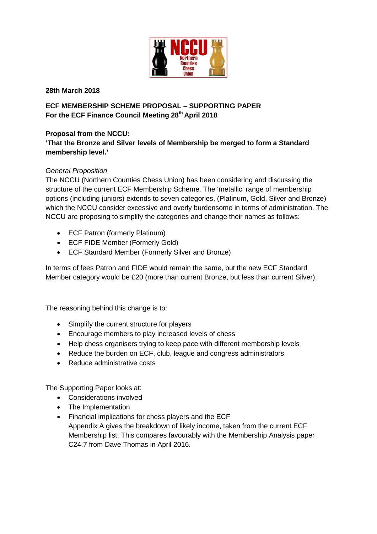

**28th March 2018**

**ECF MEMBERSHIP SCHEME PROPOSAL – SUPPORTING PAPER** For the ECF Finance Council Meeting 28<sup>th</sup> April 2018

# **Proposal from the NCCU:**

**'That the Bronze and Silver levels of Membership be merged to form a Standard membership level.'**

### *General Proposition*

The NCCU (Northern Counties Chess Union) has been considering and discussing the structure of the current ECF Membership Scheme. The 'metallic' range of membership options (including juniors) extends to seven categories, (Platinum, Gold, Silver and Bronze) which the NCCU consider excessive and overly burdensome in terms of administration. The NCCU are proposing to simplify the categories and change their names as follows:

- ECF Patron (formerly Platinum)
- ECF FIDE Member (Formerly Gold)
- ECF Standard Member (Formerly Silver and Bronze)

In terms of fees Patron and FIDE would remain the same, but the new ECF Standard Member category would be £20 (more than current Bronze, but less than current Silver).

The reasoning behind this change is to:

- Simplify the current structure for players
- Encourage members to play increased levels of chess
- Help chess organisers trying to keep pace with different membership levels
- Reduce the burden on ECF, club, league and congress administrators.
- Reduce administrative costs

The Supporting Paper looks at:

- Considerations involved
- The Implementation
- Financial implications for chess players and the ECF Appendix A gives the breakdown of likely income, taken from the current ECF Membership list. This compares favourably with the Membership Analysis paper C24.7 from Dave Thomas in April 2016.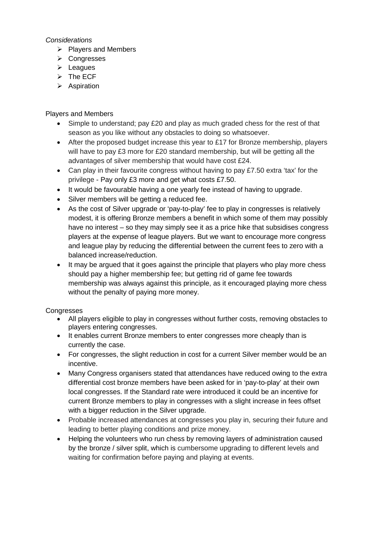#### *Considerations*

- $\triangleright$  Players and Members
- **≻** Congresses
- $\blacktriangleright$  Leagues
- $\triangleright$  The ECF
- $\triangleright$  Aspiration

### Players and Members

- Simple to understand; pay £20 and play as much graded chess for the rest of that season as you like without any obstacles to doing so whatsoever.
- After the proposed budget increase this year to £17 for Bronze membership, players will have to pay £3 more for £20 standard membership, but will be getting all the advantages of silver membership that would have cost £24.
- Can play in their favourite congress without having to pay £7.50 extra 'tax' for the privilege - Pay only £3 more and get what costs £7.50.
- It would be favourable having a one yearly fee instead of having to upgrade.
- Silver members will be getting a reduced fee.
- As the cost of Silver upgrade or 'pay-to-play' fee to play in congresses is relatively modest, it is offering Bronze members a benefit in which some of them may possibly have no interest – so they may simply see it as a price hike that subsidises congress players at the expense of league players. But we want to encourage more congress and league play by reducing the differential between the current fees to zero with a balanced increase/reduction.
- It may be argued that it goes against the principle that players who play more chess should pay a higher membership fee; but getting rid of game fee towards membership was always against this principle, as it encouraged playing more chess without the penalty of paying more money.

### **Congresses**

- All players eligible to play in congresses without further costs, removing obstacles to players entering congresses.
- It enables current Bronze members to enter congresses more cheaply than is currently the case.
- For congresses, the slight reduction in cost for a current Silver member would be an incentive.
- Many Congress organisers stated that attendances have reduced owing to the extra differential cost bronze members have been asked for in 'pay-to-play' at their own local congresses. If the Standard rate were introduced it could be an incentive for current Bronze members to play in congresses with a slight increase in fees offset with a bigger reduction in the Silver upgrade.
- Probable increased attendances at congresses you play in, securing their future and leading to better playing conditions and prize money.
- Helping the volunteers who run chess by removing layers of administration caused by the bronze / silver split, which is cumbersome upgrading to different levels and waiting for confirmation before paying and playing at events.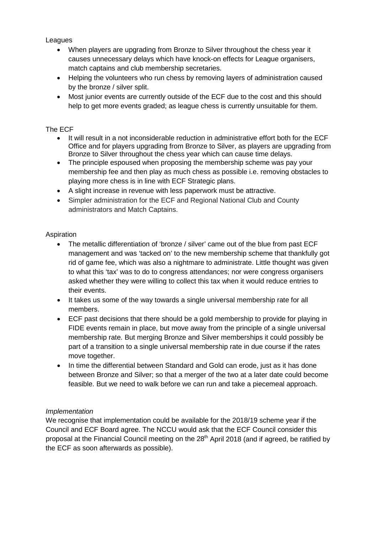Leagues

- When players are upgrading from Bronze to Silver throughout the chess year it causes unnecessary delays which have knock-on effects for League organisers, match captains and club membership secretaries.
- Helping the volunteers who run chess by removing layers of administration caused by the bronze / silver split.
- Most junior events are currently outside of the ECF due to the cost and this should help to get more events graded; as league chess is currently unsuitable for them.

## The ECF

- It will result in a not inconsiderable reduction in administrative effort both for the ECF Office and for players upgrading from Bronze to Silver, as players are upgrading from Bronze to Silver throughout the chess year which can cause time delays.
- The principle espoused when proposing the membership scheme was pay your membership fee and then play as much chess as possible i.e. removing obstacles to playing more chess is in line with ECF Strategic plans.
- A slight increase in revenue with less paperwork must be attractive.
- Simpler administration for the ECF and Regional National Club and County administrators and Match Captains.

### Aspiration

- The metallic differentiation of 'bronze / silver' came out of the blue from past ECF management and was 'tacked on' to the new membership scheme that thankfully got rid of game fee, which was also a nightmare to administrate. Little thought was given to what this 'tax' was to do to congress attendances; nor were congress organisers asked whether they were willing to collect this tax when it would reduce entries to their events.
- It takes us some of the way towards a single universal membership rate for all members.
- ECF past decisions that there should be a gold membership to provide for playing in FIDE events remain in place, but move away from the principle of a single universal membership rate. But merging Bronze and Silver memberships it could possibly be part of a transition to a single universal membership rate in due course if the rates move together.
- In time the differential between Standard and Gold can erode, just as it has done between Bronze and Silver; so that a merger of the two at a later date could become feasible. But we need to walk before we can run and take a piecemeal approach.

### *Implementation*

We recognise that implementation could be available for the 2018/19 scheme year if the Council and ECF Board agree. The NCCU would ask that the ECF Council consider this proposal at the Financial Council meeting on the  $28<sup>th</sup>$  April 2018 (and if agreed, be ratified by the ECF as soon afterwards as possible).